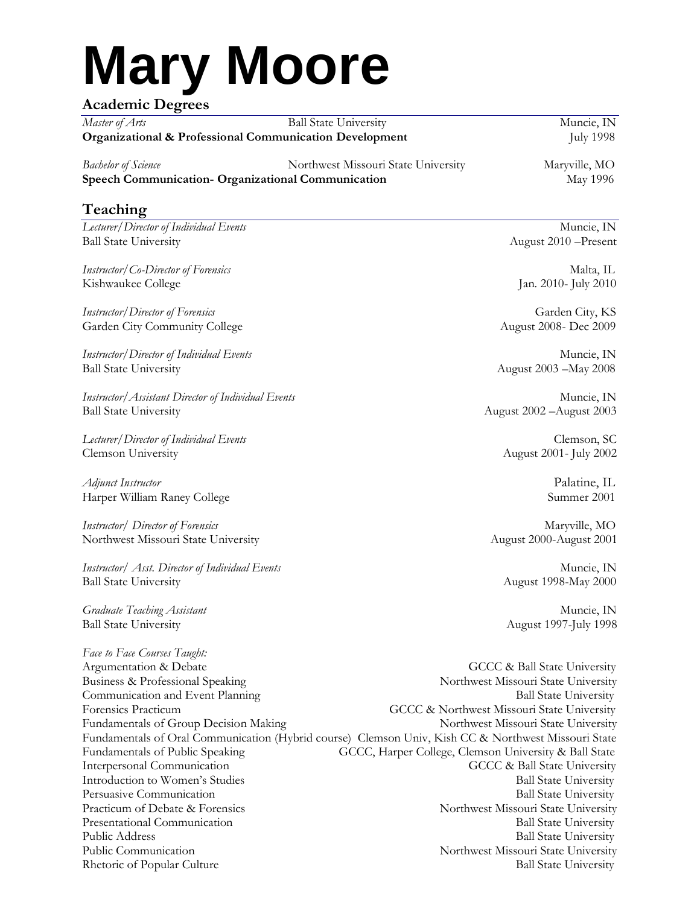# **Mary Moore**

# **Academic Degrees**

*Master of Arts* **Ball State University Ball State University Muncie, IN Organizational & Professional Communication Development** *July 1998* 

*Bachelor of Science* Northwest Missouri State University Maryville, MO **Speech Communication- Organizational Communication** May 1996

# **Teaching**

*Lecturer/Director of Individual Events* **Muncie**, IN Ball State University August 2010 –Present

*Instructor/Co-Director of Forensics* Malta, IL Kishwaukee College Jan. 2010- July 2010

*Instructor/Director of Forensics* Garden City, KS Garden City Community College **August 2008- Dec 2009** 

*Instructor/Director of Individual Events* Muncie, IN Ball State University August 2003 –May 2008

*Instructor/Assistant Director of Individual Events* Muncie, IN Ball State University August 2002 –August 2003

*Lecturer/Director of Individual Events* Clemson, SC Clemson University August 2001- July 2002

*Adjunct Instructor* Palatine, IL Palatine, IL Palatine, IL Palatine, IL Palatine, IL Palatine, IL Palatine, IL Palatine, IL Palatine, IL Palatine, IL Palatine, IL Palatine, IL Palatine, IL Palatine, IL Parmer 2001 Harper William Raney College

*Instructor/ Director of Forensics* and the material of the material of the material of  $M$  material  $M$  material of  $M$  material of  $M$  material of  $M$  material of  $M$  material of  $M$  material of  $M$  material of  $M$  mater Northwest Missouri State University August 2000-August 2001

*Instructor/ Asst. Director of Individual Events* Muncie, IN Ball State University August 1998-May 2000

*Graduate Teaching Assistant* Muncie, IN Ball State University August 1997-July 1998

*Face to Face Courses Taught:* Argumentation & Debate GCCC & Ball State University Business & Professional Speaking Northwest Missouri State University Communication and Event Planning **Ball State University** Ball State University Forensics Practicum GCCC & Northwest Missouri State University Fundamentals of Group Decision Making Northwest Missouri State University Fundamentals of Oral Communication (Hybrid course) Clemson Univ, Kish CC & Northwest Missouri State Fundamentals of Public Speaking GCCC, Harper College, Clemson University & Ball State Interpersonal Communication GCCC & Ball State University Introduction to Women's Studies Ball State University<br>Persuasive Communication Ball State University Persuasive Communication Practicum of Debate & Forensics Northwest Missouri State University Presentational Communication **Ball State University** Public Address Ball State University Public Communication Northwest Missouri State University Rhetoric of Popular Culture and State University Ball State University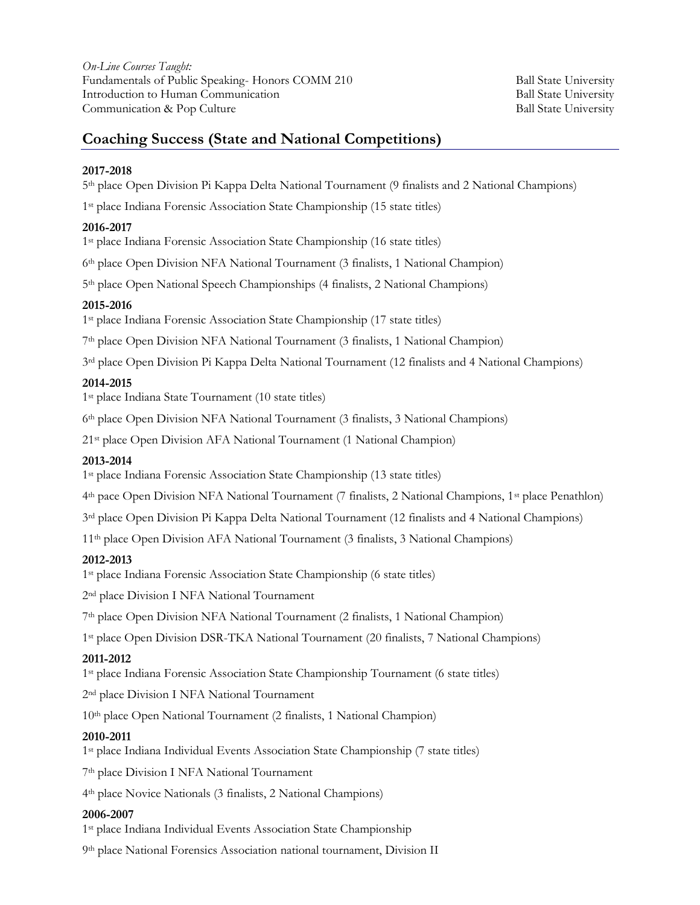*On-Line Courses Taught:* Fundamentals of Public Speaking- Honors COMM 210 Ball State University Introduction to Human Communication **Ball State University** Ball State University Communication & Pop Culture **Ball State University** Ball State University

## **Coaching Success (State and National Competitions)**

#### **2017-2018**

th place Open Division Pi Kappa Delta National Tournament (9 finalists and 2 National Champions)

st place Indiana Forensic Association State Championship (15 state titles)

#### **2016-2017**

st place Indiana Forensic Association State Championship (16 state titles)

th place Open Division NFA National Tournament (3 finalists, 1 National Champion)

th place Open National Speech Championships (4 finalists, 2 National Champions)

#### **2015-2016**

st place Indiana Forensic Association State Championship (17 state titles)

th place Open Division NFA National Tournament (3 finalists, 1 National Champion)

rd place Open Division Pi Kappa Delta National Tournament (12 finalists and 4 National Champions)

#### **2014-2015**

st place Indiana State Tournament (10 state titles)

th place Open Division NFA National Tournament (3 finalists, 3 National Champions)

st place Open Division AFA National Tournament (1 National Champion)

#### **2013-2014**

st place Indiana Forensic Association State Championship (13 state titles)

th pace Open Division NFA National Tournament (7 finalists, 2 National Champions, 1st place Penathlon)

rd place Open Division Pi Kappa Delta National Tournament (12 finalists and 4 National Champions)

th place Open Division AFA National Tournament (3 finalists, 3 National Champions)

#### **2012-2013**

st place Indiana Forensic Association State Championship (6 state titles)

nd place Division I NFA National Tournament

th place Open Division NFA National Tournament (2 finalists, 1 National Champion)

st place Open Division DSR-TKA National Tournament (20 finalists, 7 National Champions)

#### **2011-2012**

st place Indiana Forensic Association State Championship Tournament (6 state titles)

nd place Division I NFA National Tournament

th place Open National Tournament (2 finalists, 1 National Champion)

#### **2010-2011**

st place Indiana Individual Events Association State Championship (7 state titles)

th place Division I NFA National Tournament

th place Novice Nationals (3 finalists, 2 National Champions)

#### **2006-2007**

st place Indiana Individual Events Association State Championship

th place National Forensics Association national tournament, Division II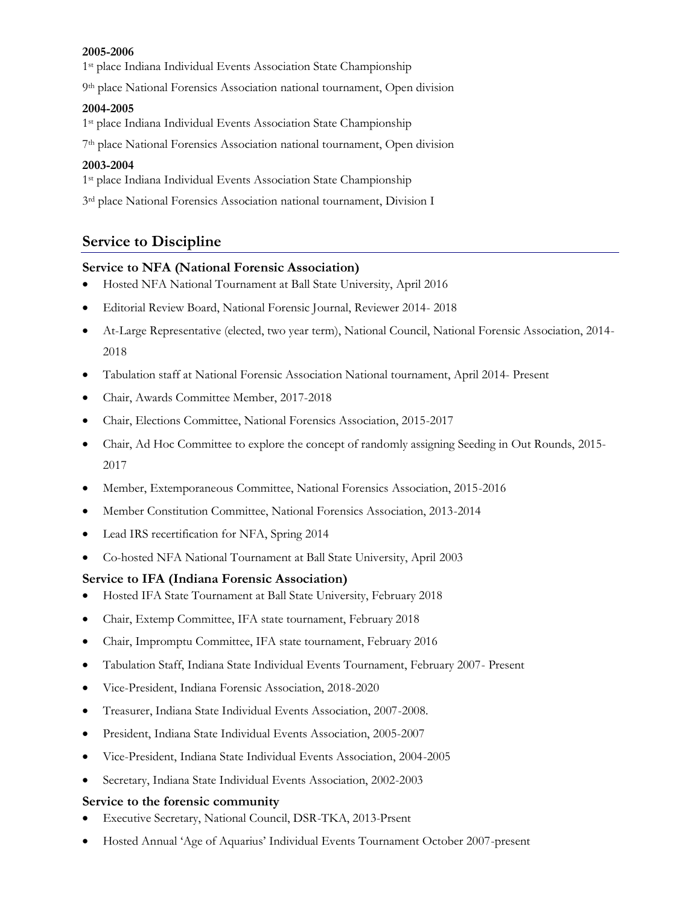#### **2005-2006**

1st place Indiana Individual Events Association State Championship

9th place National Forensics Association national tournament, Open division

#### **2004-2005**

1st place Indiana Individual Events Association State Championship

7th place National Forensics Association national tournament, Open division

#### **2003-2004**

1st place Indiana Individual Events Association State Championship

3<sup>rd</sup> place National Forensics Association national tournament, Division I

## **Service to Discipline**

#### **Service to NFA (National Forensic Association)**

- Hosted NFA National Tournament at Ball State University, April 2016
- Editorial Review Board, National Forensic Journal, Reviewer 2014- 2018
- At-Large Representative (elected, two year term), National Council, National Forensic Association, 2014- 2018
- Tabulation staff at National Forensic Association National tournament, April 2014- Present
- Chair, Awards Committee Member, 2017-2018
- Chair, Elections Committee, National Forensics Association, 2015-2017
- Chair, Ad Hoc Committee to explore the concept of randomly assigning Seeding in Out Rounds, 2015-2017
- Member, Extemporaneous Committee, National Forensics Association, 2015-2016
- Member Constitution Committee, National Forensics Association, 2013-2014
- Lead IRS recertification for NFA, Spring 2014
- Co-hosted NFA National Tournament at Ball State University, April 2003

#### **Service to IFA (Indiana Forensic Association)**

- Hosted IFA State Tournament at Ball State University, February 2018
- Chair, Extemp Committee, IFA state tournament, February 2018
- Chair, Impromptu Committee, IFA state tournament, February 2016
- Tabulation Staff, Indiana State Individual Events Tournament, February 2007- Present
- Vice-President, Indiana Forensic Association, 2018-2020
- Treasurer, Indiana State Individual Events Association, 2007-2008.
- President, Indiana State Individual Events Association, 2005-2007
- Vice-President, Indiana State Individual Events Association, 2004-2005
- Secretary, Indiana State Individual Events Association, 2002-2003

#### **Service to the forensic community**

- Executive Secretary, National Council, DSR-TKA, 2013-Prsent
- Hosted Annual 'Age of Aquarius' Individual Events Tournament October 2007-present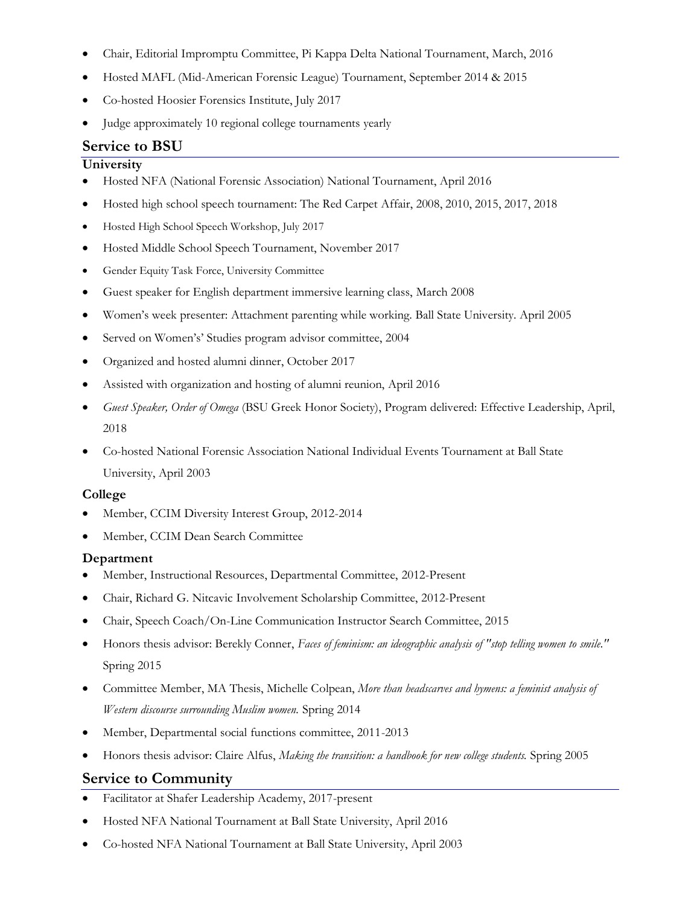- Chair, Editorial Impromptu Committee, Pi Kappa Delta National Tournament, March, 2016
- Hosted MAFL (Mid-American Forensic League) Tournament, September 2014 & 2015
- Co-hosted Hoosier Forensics Institute, July 2017
- Judge approximately 10 regional college tournaments yearly

# **Service to BSU**

#### **University**

- Hosted NFA (National Forensic Association) National Tournament, April 2016
- Hosted high school speech tournament: The Red Carpet Affair, 2008, 2010, 2015, 2017, 2018
- Hosted High School Speech Workshop, July 2017
- Hosted Middle School Speech Tournament, November 2017
- Gender Equity Task Force, University Committee
- Guest speaker for English department immersive learning class, March 2008
- Women's week presenter: Attachment parenting while working. Ball State University. April 2005
- Served on Women's' Studies program advisor committee, 2004
- Organized and hosted alumni dinner, October 2017
- Assisted with organization and hosting of alumni reunion, April 2016
- *Guest Speaker, Order of Omega* (BSU Greek Honor Society), Program delivered: Effective Leadership, April, 2018
- Co-hosted National Forensic Association National Individual Events Tournament at Ball State University, April 2003

#### **College**

- Member, CCIM Diversity Interest Group, 2012-2014
- Member, CCIM Dean Search Committee

## **Department**

- Member, Instructional Resources, Departmental Committee, 2012-Present
- Chair, Richard G. Nitcavic Involvement Scholarship Committee, 2012-Present
- Chair, Speech Coach/On-Line Communication Instructor Search Committee, 2015
- Honors thesis advisor: Berekly Conner, *Faces of feminism: an ideographic analysis of "stop telling women to smile."* Spring 2015
- Committee Member, MA Thesis, Michelle Colpean, *More than headscarves and hymens: a feminist analysis of Western discourse surrounding Muslim women.* Spring 2014
- Member, Departmental social functions committee, 2011-2013
- Honors thesis advisor: Claire Alfus, *Making the transition: a handbook for new college students.* Spring 2005

# **Service to Community**

- Facilitator at Shafer Leadership Academy, 2017-present
- Hosted NFA National Tournament at Ball State University, April 2016
- Co-hosted NFA National Tournament at Ball State University, April 2003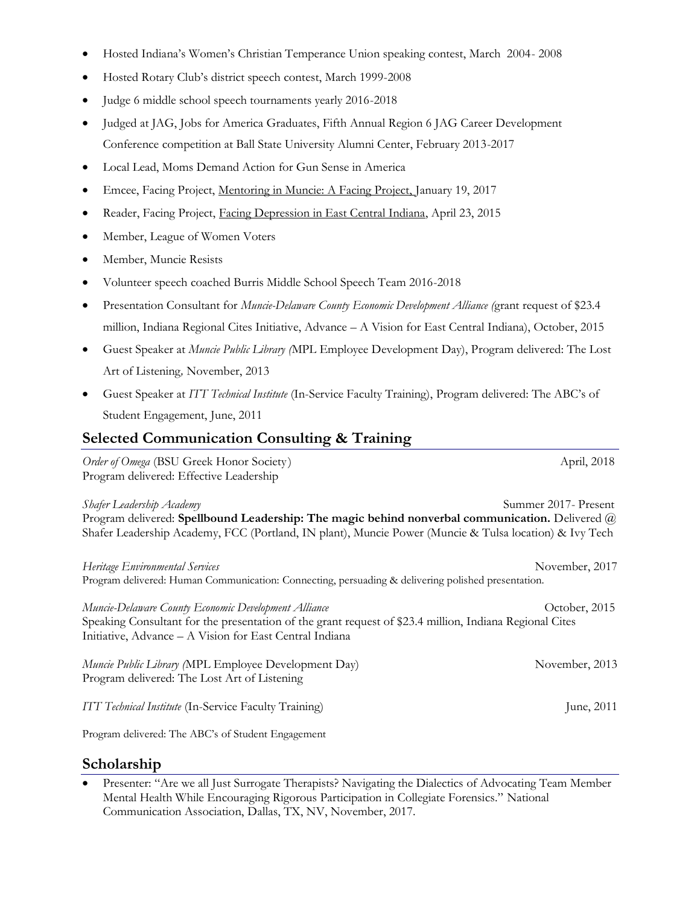- Hosted Indiana's Women's Christian Temperance Union speaking contest, March 2004- 2008
- Hosted Rotary Club's district speech contest, March 1999-2008
- Judge 6 middle school speech tournaments yearly 2016-2018
- Judged at JAG, Jobs for America Graduates, Fifth Annual Region 6 JAG Career Development Conference competition at Ball State University Alumni Center, February 2013-2017
- Local Lead, Moms Demand Action for Gun Sense in America
- Emcee, Facing Project, Mentoring in Muncie: A Facing Project, January 19, 2017
- Reader, Facing Project, Facing Depression in East Central Indiana, April 23, 2015
- Member, League of Women Voters
- Member, Muncie Resists
- Volunteer speech coached Burris Middle School Speech Team 2016-2018
- Presentation Consultant for *Muncie-Delaware County Economic Development Alliance (*grant request of \$23.4 million, Indiana Regional Cites Initiative, Advance – A Vision for East Central Indiana), October, 2015
- Guest Speaker at *Muncie Public Library (*MPL Employee Development Day), Program delivered: The Lost Art of Listening*,* November, 2013
- Guest Speaker at *ITT Technical Institute* (In-Service Faculty Training), Program delivered: The ABC's of Student Engagement, June, 2011

# **Selected Communication Consulting & Training**

*Order of Omega* (BSU Greek Honor Society) **April**, 2018 Program delivered: Effective Leadership

*Shafer Leadership Academy* Summer 2017- Present Program delivered: **Spellbound Leadership: The magic behind nonverbal communication.** Delivered @ Shafer Leadership Academy, FCC (Portland, IN plant), Muncie Power (Muncie & Tulsa location) & Ivy Tech

*Heritage Environmental Services* November, 2017 Program delivered: Human Communication: Connecting, persuading & delivering polished presentation.

*Muncie-Delaware County Economic Development Alliance* **Community Construction Construction** Cortober, 2015 Speaking Consultant for the presentation of the grant request of \$23.4 million, Indiana Regional Cites Initiative, Advance – A Vision for East Central Indiana

*Muncie Public Library (MPL Employee Development Day)* November, 2013 Program delivered: The Lost Art of Listening

*ITT Technical Institute* (In-Service Faculty Training) *June, 2011* 

Program delivered: The ABC's of Student Engagement

## **Scholarship**

• Presenter: "Are we all Just Surrogate Therapists? Navigating the Dialectics of Advocating Team Member Mental Health While Encouraging Rigorous Participation in Collegiate Forensics." National Communication Association, Dallas, TX, NV, November, 2017.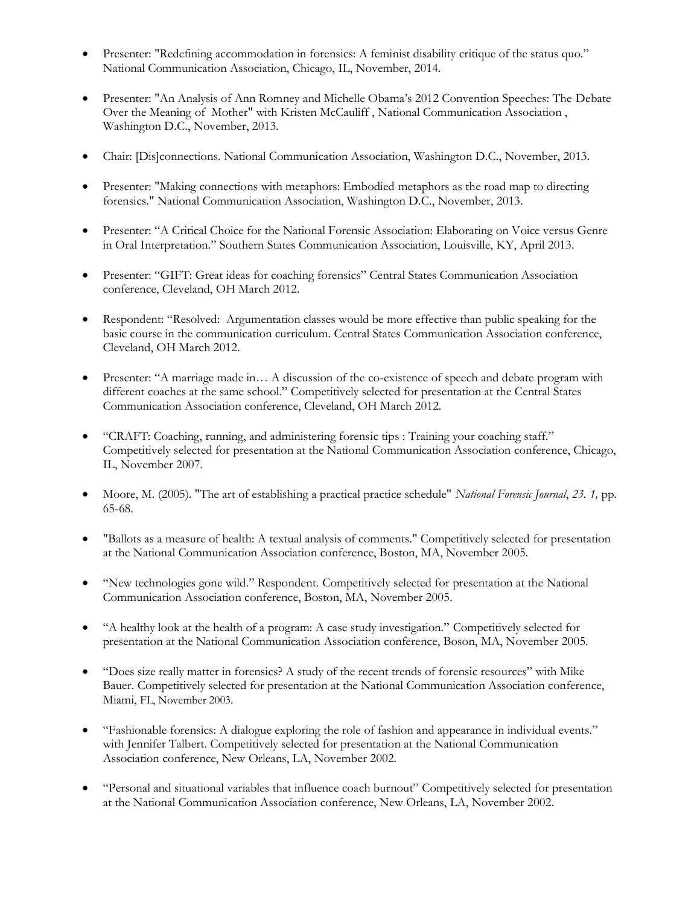- Presenter: "Redefining accommodation in forensics: A feminist disability critique of the status quo." National Communication Association, Chicago, IL, November, 2014.
- Presenter: "An Analysis of Ann Romney and Michelle Obama's 2012 Convention Speeches: The Debate Over the Meaning of Mother" with Kristen McCauliff , National Communication Association , Washington D.C., November, 2013.
- Chair: [Dis]connections. National Communication Association, Washington D.C., November, 2013.
- Presenter: "Making connections with metaphors: Embodied metaphors as the road map to directing forensics." National Communication Association, Washington D.C., November, 2013.
- Presenter: "A Critical Choice for the National Forensic Association: Elaborating on Voice versus Genre in Oral Interpretation." Southern States Communication Association, Louisville, KY, April 2013.
- Presenter: "GIFT: Great ideas for coaching forensics" Central States Communication Association conference, Cleveland, OH March 2012.
- Respondent: "Resolved: Argumentation classes would be more effective than public speaking for the basic course in the communication curriculum. Central States Communication Association conference, Cleveland, OH March 2012.
- Presenter: "A marriage made in... A discussion of the co-existence of speech and debate program with different coaches at the same school." Competitively selected for presentation at the Central States Communication Association conference, Cleveland, OH March 2012.
- "CRAFT: Coaching, running, and administering forensic tips : [Training your coaching staff.](http://64.112.226.77/one/nca/nca07/index.php?click_key=1&cmd=Multi+Search+Search+Load+Publication&publication_id=192928&PHPSESSID=bf36454cd4dfd68ea16ec072e94d707f)" Competitively selected for presentation at the National Communication Association conference, Chicago, IL, November 2007.
- Moore, M. (2005). "The art of establishing a practical practice schedule" *National Forensic Journal*, *23. 1,* pp. 65-68.
- "Ballots as a measure of health: A textual analysis of comments." Competitively selected for presentation at the National Communication Association conference, Boston, MA, November 2005.
- "New technologies gone wild." Respondent. Competitively selected for presentation at the National Communication Association conference, Boston, MA, November 2005.
- "A healthy look at the health of a program: A case study investigation." Competitively selected for presentation at the National Communication Association conference, Boson, MA, November 2005.
- "[Does size really matter in forensics? A study of the recent trends of forensic reso](http://convention.allacademic.com/nca2003/session_info.html?c_session_id=1230&part_id1=92075&dtr_id=1073)urces" with Mike [Bauer. C](http://convention.allacademic.com/nca2003/session_info.html?c_session_id=1230&part_id1=92075&dtr_id=1073)ompetitively selected for presentation at the National Communication Association conference, Miami, FL, November 2003.
- "Fashionable forensics: A dialogue exploring the role of fashion and appearance in individual events." with Jennifer Talbert. Competitively selected for presentation at the National Communication Association conference, New Orleans, LA, November 2002.
- "Personal and situational variables that influence coach burnout" Competitively selected for presentation at the National Communication Association conference, New Orleans, LA, November 2002.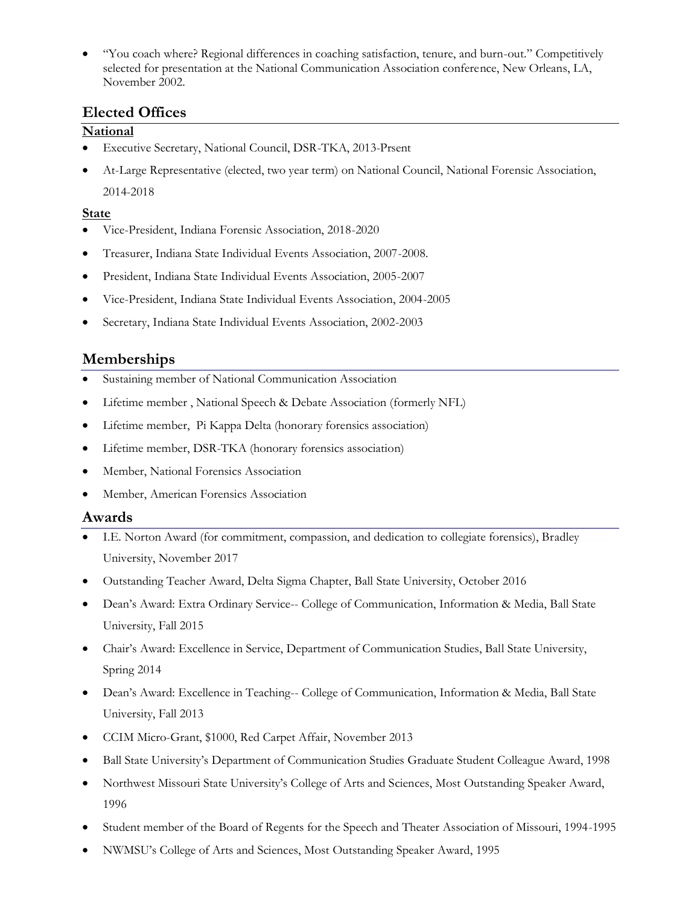• "You coach where? Regional differences in coaching satisfaction, tenure, and burn-out." Competitively selected for presentation at the National Communication Association conference, New Orleans, LA, November 2002.

## **Elected Offices**

## **National**

- Executive Secretary, National Council, DSR-TKA, 2013-Prsent
- At-Large Representative (elected, two year term) on National Council, National Forensic Association, 2014-2018

## **State**

- Vice-President, Indiana Forensic Association, 2018-2020
- Treasurer, Indiana State Individual Events Association, 2007-2008.
- President, Indiana State Individual Events Association, 2005-2007
- Vice-President, Indiana State Individual Events Association, 2004-2005
- Secretary, Indiana State Individual Events Association, 2002-2003

## **Memberships**

- Sustaining member of National Communication Association
- Lifetime member , National Speech & Debate Association (formerly NFL)
- Lifetime member, Pi Kappa Delta (honorary forensics association)
- Lifetime member, DSR-TKA (honorary forensics association)
- Member, National Forensics Association
- Member, American Forensics Association

## **Awards**

- I.E. Norton Award (for commitment, compassion, and dedication to collegiate forensics), Bradley University, November 2017
- Outstanding Teacher Award, Delta Sigma Chapter, Ball State University, October 2016
- Dean's Award: Extra Ordinary Service-- College of Communication, Information & Media, Ball State University, Fall 2015
- Chair's Award: Excellence in Service, Department of Communication Studies, Ball State University, Spring 2014
- Dean's Award: Excellence in Teaching-- College of Communication, Information & Media, Ball State University, Fall 2013
- CCIM Micro-Grant, \$1000, Red Carpet Affair, November 2013
- Ball State University's Department of Communication Studies Graduate Student Colleague Award, 1998
- Northwest Missouri State University's College of Arts and Sciences, Most Outstanding Speaker Award, 1996
- Student member of the Board of Regents for the Speech and Theater Association of Missouri, 1994-1995
- NWMSU's College of Arts and Sciences, Most Outstanding Speaker Award, 1995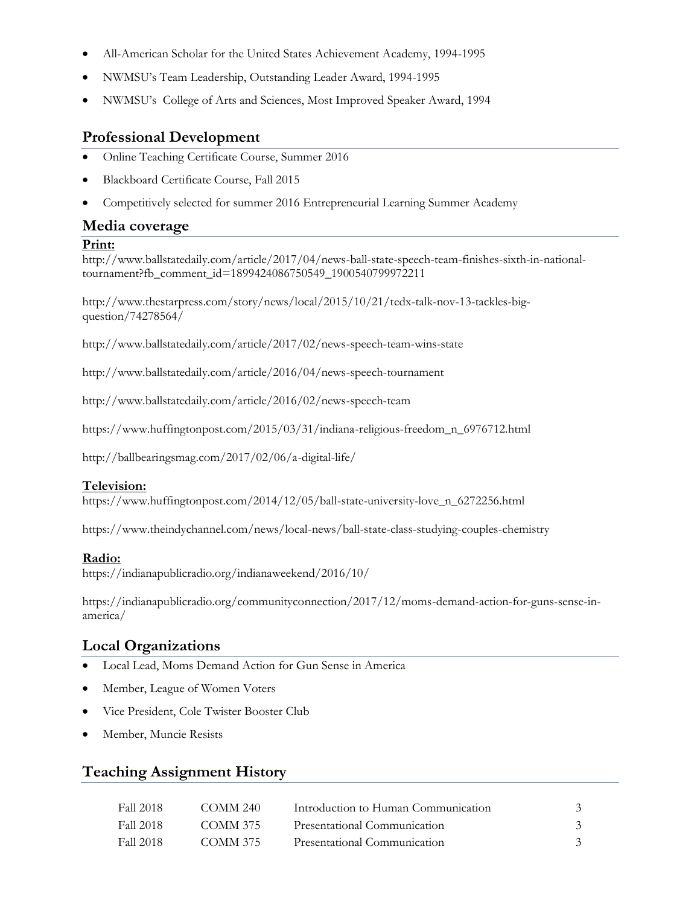- All-American Scholar for the United States Achievement Academy, 1994-1995
- NWMSU's Team Leadership, Outstanding Leader Award, 1994-1995
- NWMSU's College of Arts and Sciences, Most Improved Speaker Award, 1994

## **Professional Development**

- Online Teaching Certificate Course, Summer 2016
- Blackboard Certificate Course, Fall 2015
- Competitively selected for summer 2016 Entrepreneurial Learning Summer Academy

### **Media coverage**

#### **Print:**

[http://www.ballstatedaily.com/article/2017/04/news-ball-state-speech-team-finishes-sixth-in-national](http://www.ballstatedaily.com/article/2017/04/news-ball-state-speech-team-finishes-sixth-in-national-tournament?fb_comment_id=1899424086750549_1900540799972211)[tournament?fb\\_comment\\_id=1899424086750549\\_1900540799972211](http://www.ballstatedaily.com/article/2017/04/news-ball-state-speech-team-finishes-sixth-in-national-tournament?fb_comment_id=1899424086750549_1900540799972211)

[http://www.thestarpress.com/story/news/local/2015/10/21/tedx-talk-nov-13-tackles-big](http://www.thestarpress.com/story/news/local/2015/10/21/tedx-talk-nov-13-tackles-big-question/74278564/)[question/74278564/](http://www.thestarpress.com/story/news/local/2015/10/21/tedx-talk-nov-13-tackles-big-question/74278564/)

<http://www.ballstatedaily.com/article/2017/02/news-speech-team-wins-state>

<http://www.ballstatedaily.com/article/2016/04/news-speech-tournament>

<http://www.ballstatedaily.com/article/2016/02/news-speech-team>

https://www.huffingtonpost.com/2015/03/31/indiana-religious-freedom\_n\_6976712.html

<http://ballbearingsmag.com/2017/02/06/a-digital-life/>

#### **Television:**

[https://www.huffingtonpost.com/2014/12/05/ball-state-university-love\\_n\\_6272256.html](https://www.huffingtonpost.com/2014/12/05/ball-state-university-love_n_6272256.html)

<https://www.theindychannel.com/news/local-news/ball-state-class-studying-couples-chemistry>

#### **Radio:**

<https://indianapublicradio.org/indianaweekend/2016/10/>

[https://indianapublicradio.org/communityconnection/2017/12/moms-demand-action-for-guns-sense-in](https://indianapublicradio.org/communityconnection/2017/12/moms-demand-action-for-guns-sense-in-america/)[america/](https://indianapublicradio.org/communityconnection/2017/12/moms-demand-action-for-guns-sense-in-america/)

# **Local Organizations**

- Local Lead, Moms Demand Action for Gun Sense in America
- Member, League of Women Voters
- Vice President, Cole Twister Booster Club
- Member, Muncie Resists

## **Teaching Assignment History**

| Fall 2018   | COMM 240 | Introduction to Human Communication |  |
|-------------|----------|-------------------------------------|--|
| - Fall 2018 | COMM 375 | Presentational Communication        |  |
| Fall 2018   | COMM 375 | Presentational Communication        |  |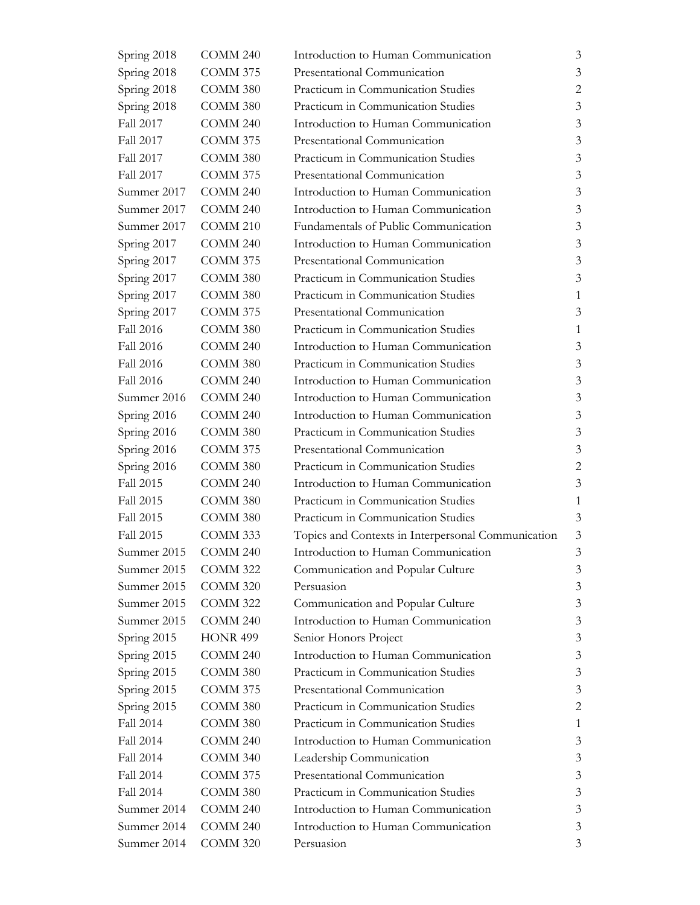| Spring 2018      | COMM 240            | Introduction to Human Communication                | $\mathfrak{Z}$ |
|------------------|---------------------|----------------------------------------------------|----------------|
| Spring 2018      | COMM 375            | Presentational Communication                       | 3              |
| Spring 2018      | COMM 380            | Practicum in Communication Studies                 | $\overline{2}$ |
| Spring 2018      | COMM 380            | Practicum in Communication Studies                 | 3              |
| Fall 2017        | <b>COMM 240</b>     | Introduction to Human Communication                | 3              |
| Fall 2017        | <b>COMM 375</b>     | Presentational Communication                       | 3              |
| Fall 2017        | COMM 380            | Practicum in Communication Studies                 | $\mathfrak{Z}$ |
| <b>Fall 2017</b> | COMM 375            | Presentational Communication                       | 3              |
| Summer 2017      | COMM 240            | Introduction to Human Communication                | 3              |
| Summer 2017      | COMM 240            | Introduction to Human Communication                | 3              |
| Summer 2017      | COMM <sub>210</sub> | Fundamentals of Public Communication               | $\mathfrak{Z}$ |
| Spring 2017      | COMM 240            | Introduction to Human Communication                | 3              |
| Spring 2017      | <b>COMM 375</b>     | Presentational Communication                       | $\mathfrak{Z}$ |
| Spring 2017      | COMM 380            | Practicum in Communication Studies                 | 3              |
| Spring 2017      | COMM 380            | Practicum in Communication Studies                 | $\mathbf{1}$   |
| Spring 2017      | <b>COMM 375</b>     | Presentational Communication                       | 3              |
| <b>Fall 2016</b> | COMM 380            | Practicum in Communication Studies                 | $\mathbf{1}$   |
| <b>Fall 2016</b> | <b>COMM 240</b>     | Introduction to Human Communication                | 3              |
| <b>Fall 2016</b> | COMM 380            | Practicum in Communication Studies                 | $\mathfrak{Z}$ |
| Fall 2016        | COMM 240            | Introduction to Human Communication                | 3              |
| Summer 2016      | <b>COMM 240</b>     | Introduction to Human Communication                | $\mathfrak{Z}$ |
| Spring 2016      | COMM 240            | Introduction to Human Communication                | 3              |
| Spring 2016      | COMM 380            | Practicum in Communication Studies                 | $\mathfrak{Z}$ |
| Spring 2016      | <b>COMM 375</b>     | Presentational Communication                       | 3              |
| Spring 2016      | COMM 380            | Practicum in Communication Studies                 | $\mathbf{2}$   |
| Fall 2015        | COMM 240            | Introduction to Human Communication                | 3              |
| Fall 2015        | COMM 380            | Practicum in Communication Studies                 | 1              |
| Fall 2015        | COMM 380            | Practicum in Communication Studies                 | 3              |
| Fall 2015        | <b>COMM 333</b>     | Topics and Contexts in Interpersonal Communication | $\mathfrak{Z}$ |
| Summer 2015      | COMM 240            | Introduction to Human Communication                | 3              |
| Summer 2015      | COMM 322            | Communication and Popular Culture                  | 3              |
| Summer 2015      | <b>COMM 320</b>     | Persuasion                                         | 3              |
| Summer 2015      | COMM 322            | Communication and Popular Culture                  | 3              |
| Summer 2015      | COMM 240            | Introduction to Human Communication                | 3              |
| Spring 2015      | <b>HONR 499</b>     | Senior Honors Project                              | 3              |
| Spring 2015      | COMM 240            | Introduction to Human Communication                | 3              |
| Spring 2015      | COMM 380            | Practicum in Communication Studies                 | 3              |
| Spring 2015      | COMM 375            | Presentational Communication                       | 3              |
| Spring 2015      | COMM 380            | Practicum in Communication Studies                 | 2              |
| Fall 2014        | COMM 380            | Practicum in Communication Studies                 | 1              |
| Fall 2014        | COMM 240            | Introduction to Human Communication                | 3              |
| Fall 2014        | COMM 340            | Leadership Communication                           | 3              |
| Fall 2014        | <b>COMM 375</b>     | Presentational Communication                       | 3              |
| Fall 2014        | COMM 380            | Practicum in Communication Studies                 | 3              |
| Summer 2014      | COMM 240            | Introduction to Human Communication                | 3              |
| Summer 2014      | COMM 240            | Introduction to Human Communication                | 3              |
| Summer 2014      | <b>COMM 320</b>     | Persuasion                                         | 3              |